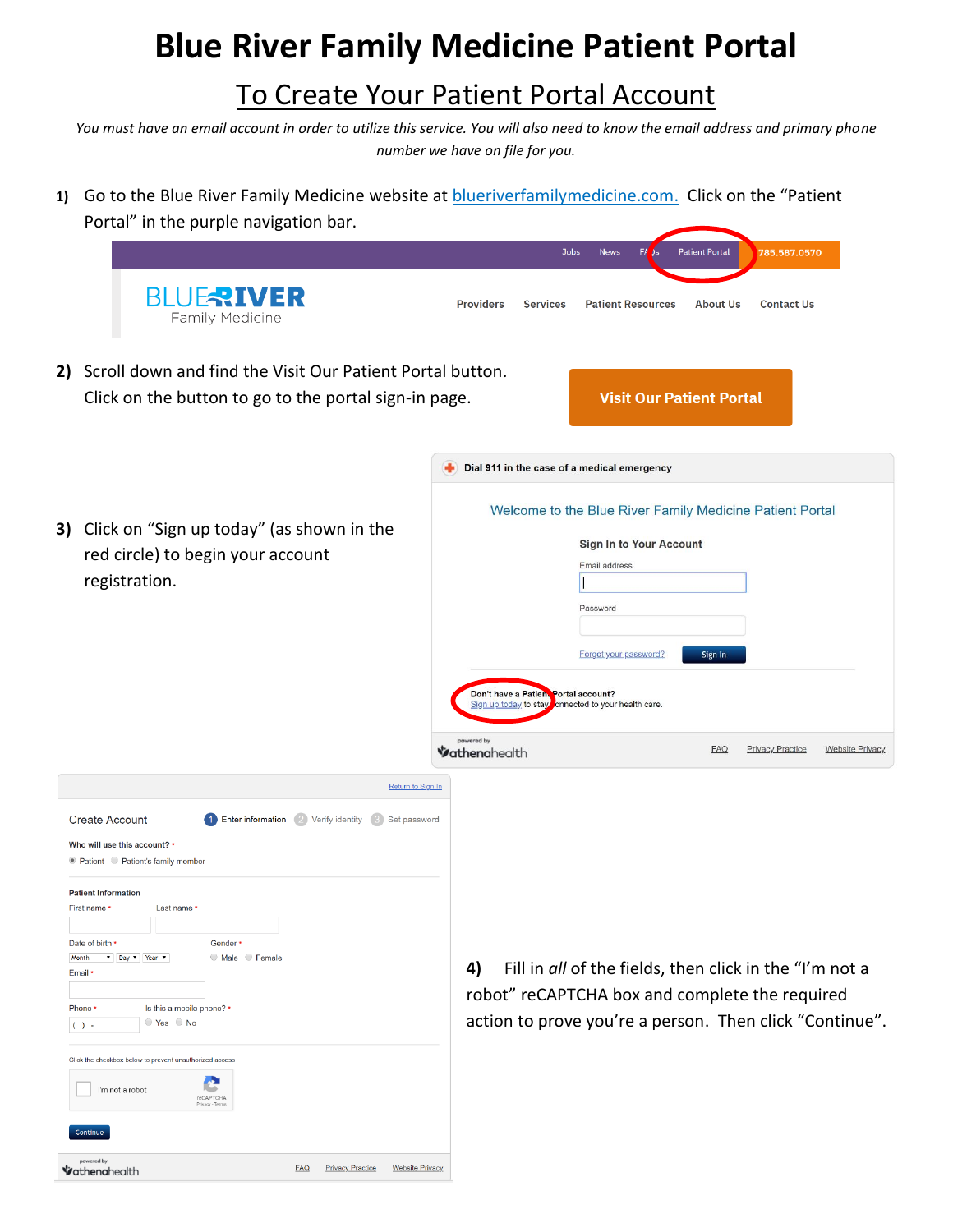## **Blue River Family Medicine Patient Portal**

## To Create Your Patient Portal Account

*You must have an email account in order to utilize this service. You will also need to know the email address and primary phone number we have on file for you.*

1) Go to the Blue River Family Medicine website at **blueriverfamilymedicine.com.** Click on the "Patient Portal" in the purple navigation bar.

|       |                                                                                                                                                                                                                                                                                                                                                                                                                                                                                                                                                                                                                                                  | <b>Patient Portal</b><br><b>Jobs</b><br><b>News</b><br>FA<br>785.587.0570                                                                                                                                                                                            |
|-------|--------------------------------------------------------------------------------------------------------------------------------------------------------------------------------------------------------------------------------------------------------------------------------------------------------------------------------------------------------------------------------------------------------------------------------------------------------------------------------------------------------------------------------------------------------------------------------------------------------------------------------------------------|----------------------------------------------------------------------------------------------------------------------------------------------------------------------------------------------------------------------------------------------------------------------|
|       | <b>BLUERIVER</b><br>Family Medicine                                                                                                                                                                                                                                                                                                                                                                                                                                                                                                                                                                                                              | <b>Providers</b><br><b>Services</b><br><b>Patient Resources</b><br><b>About Us</b><br><b>Contact Us</b>                                                                                                                                                              |
|       | 2) Scroll down and find the Visit Our Patient Portal button.<br>Click on the button to go to the portal sign-in page.                                                                                                                                                                                                                                                                                                                                                                                                                                                                                                                            | <b>Visit Our Patient Portal</b>                                                                                                                                                                                                                                      |
|       |                                                                                                                                                                                                                                                                                                                                                                                                                                                                                                                                                                                                                                                  | Dial 911 in the case of a medical emergency                                                                                                                                                                                                                          |
|       | 3) Click on "Sign up today" (as shown in the<br>red circle) to begin your account<br>registration.                                                                                                                                                                                                                                                                                                                                                                                                                                                                                                                                               | Welcome to the Blue River Family Medicine Patient Portal<br>Sign In to Your Account<br>Email address<br>Password<br>Forgot your password?<br>Sign In<br>Don't have a Patien. Portal account?<br>Sign up today to stay<br>onnected to your health care.<br>powered by |
|       |                                                                                                                                                                                                                                                                                                                                                                                                                                                                                                                                                                                                                                                  | <b>FAQ</b><br><b>Privacy Practice</b><br><b>Website Privacy</b><br>Vathenahealth                                                                                                                                                                                     |
| Month | Return to Sign In<br><b>Enter information</b> 2 Verify identity<br><b>Create Account</b><br>(3) Set password<br>Who will use this account? *<br>● Patient ● Patient's family member<br><b>Patient Information</b><br>First name *<br>Last name *<br>Date of birth *<br>Gender *<br>$\nabla$ Day $\nabla$ Year $\nabla$<br>Male Female<br>Email *<br>Is this a mobile phone? *<br>Phone *<br>Yes No<br>$( ) -$<br>Click the checkbox below to prevent unauthorized access<br>I'm not a robot<br><b>reCAPTCHA</b><br>Privacy - Terms<br>Continue<br>powered by<br><b>FAQ</b><br><b>Privacy Practice</b><br><b>Website Privacy</b><br>Yathenahealth | Fill in all of the fields, then click in the "I'm not a<br>4)<br>robot" reCAPTCHA box and complete the required<br>action to prove you're a person. Then click "Continue".                                                                                           |